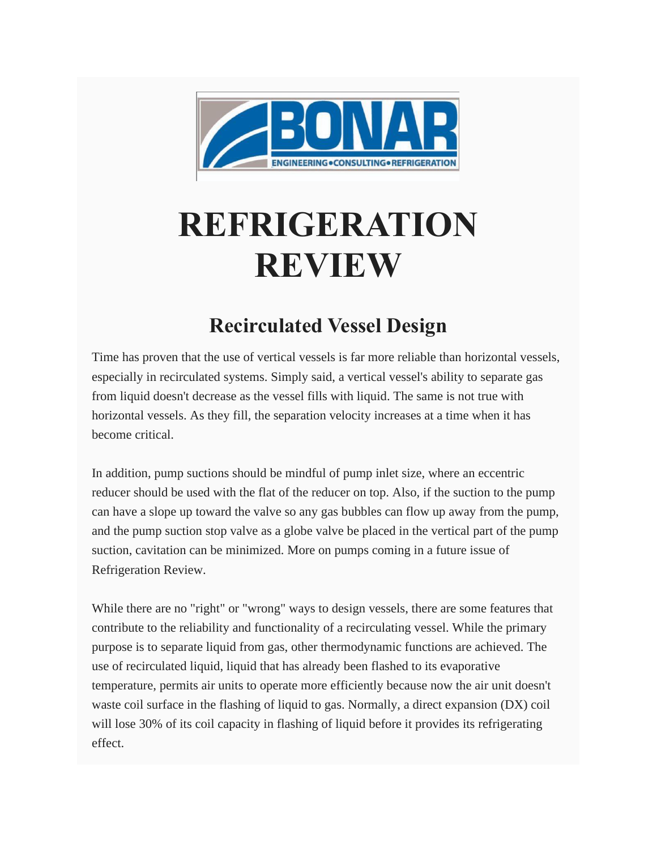

## **REFRIGERATION REVIEW**

## **Recirculated Vessel Design**

Time has proven that the use of vertical vessels is far more reliable than horizontal vessels, especially in recirculated systems. Simply said, a vertical vessel's ability to separate gas from liquid doesn't decrease as the vessel fills with liquid. The same is not true with horizontal vessels. As they fill, the separation velocity increases at a time when it has become critical.

In addition, pump suctions should be mindful of pump inlet size, where an eccentric reducer should be used with the flat of the reducer on top. Also, if the suction to the pump can have a slope up toward the valve so any gas bubbles can flow up away from the pump, and the pump suction stop valve as a globe valve be placed in the vertical part of the pump suction, cavitation can be minimized. More on pumps coming in a future issue of Refrigeration Review.

While there are no "right" or "wrong" ways to design vessels, there are some features that contribute to the reliability and functionality of a recirculating vessel. While the primary purpose is to separate liquid from gas, other thermodynamic functions are achieved. The use of recirculated liquid, liquid that has already been flashed to its evaporative temperature, permits air units to operate more efficiently because now the air unit doesn't waste coil surface in the flashing of liquid to gas. Normally, a direct expansion (DX) coil will lose 30% of its coil capacity in flashing of liquid before it provides its refrigerating effect.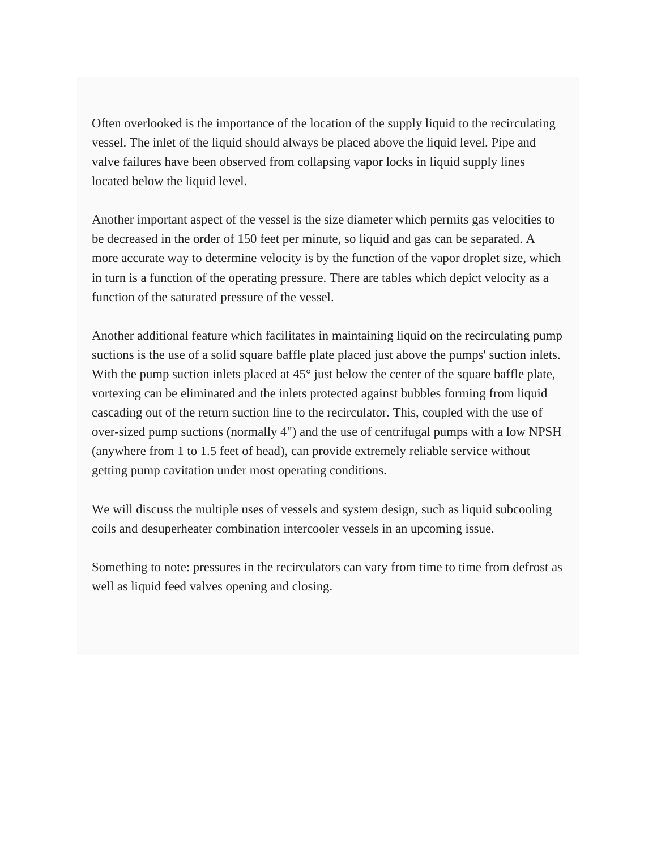Often overlooked is the importance of the location of the supply liquid to the recirculating vessel. The inlet of the liquid should always be placed above the liquid level. Pipe and valve failures have been observed from collapsing vapor locks in liquid supply lines located below the liquid level.

Another important aspect of the vessel is the size diameter which permits gas velocities to be decreased in the order of 150 feet per minute, so liquid and gas can be separated. A more accurate way to determine velocity is by the function of the vapor droplet size, which in turn is a function of the operating pressure. There are tables which depict velocity as a function of the saturated pressure of the vessel.

Another additional feature which facilitates in maintaining liquid on the recirculating pump suctions is the use of a solid square baffle plate placed just above the pumps' suction inlets. With the pump suction inlets placed at 45<sup>°</sup> just below the center of the square baffle plate, vortexing can be eliminated and the inlets protected against bubbles forming from liquid cascading out of the return suction line to the recirculator. This, coupled with the use of over-sized pump suctions (normally 4") and the use of centrifugal pumps with a low NPSH (anywhere from 1 to 1.5 feet of head), can provide extremely reliable service without getting pump cavitation under most operating conditions.

We will discuss the multiple uses of vessels and system design, such as liquid subcooling coils and desuperheater combination intercooler vessels in an upcoming issue.

Something to note: pressures in the recirculators can vary from time to time from defrost as well as liquid feed valves opening and closing.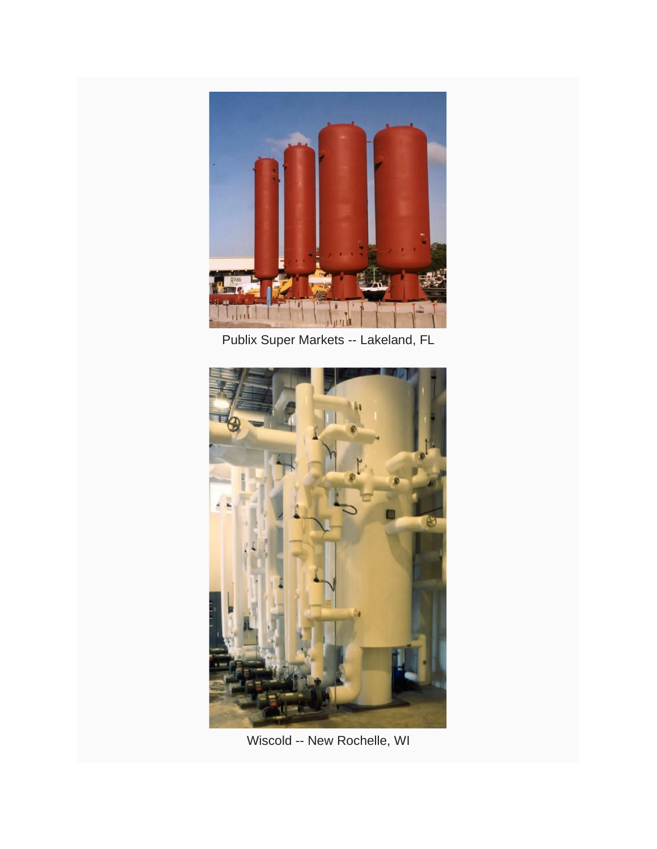

Publix Super Markets -- Lakeland, FL



Wiscold -- New Rochelle, WI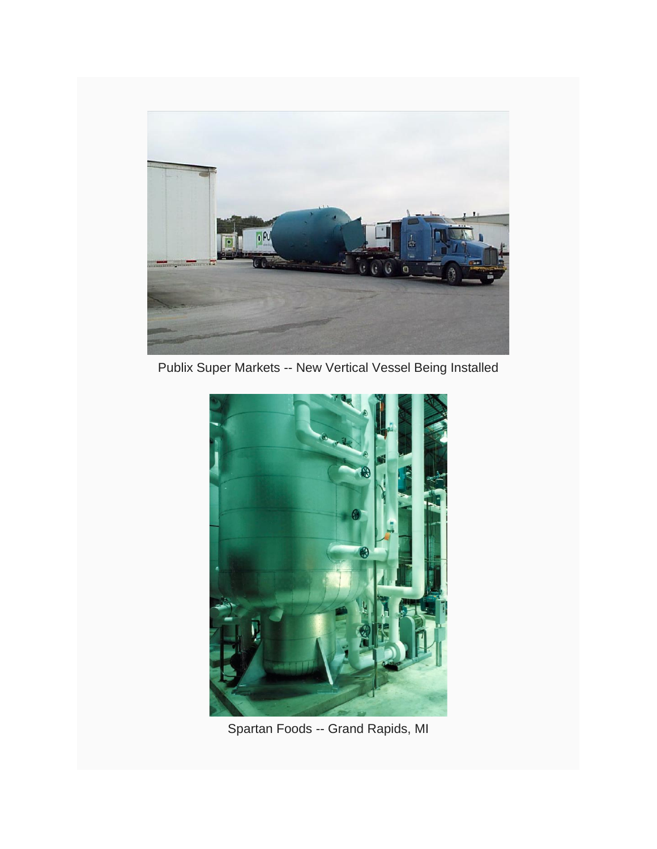

Publix Super Markets -- New Vertical Vessel Being Installed



Spartan Foods -- Grand Rapids, MI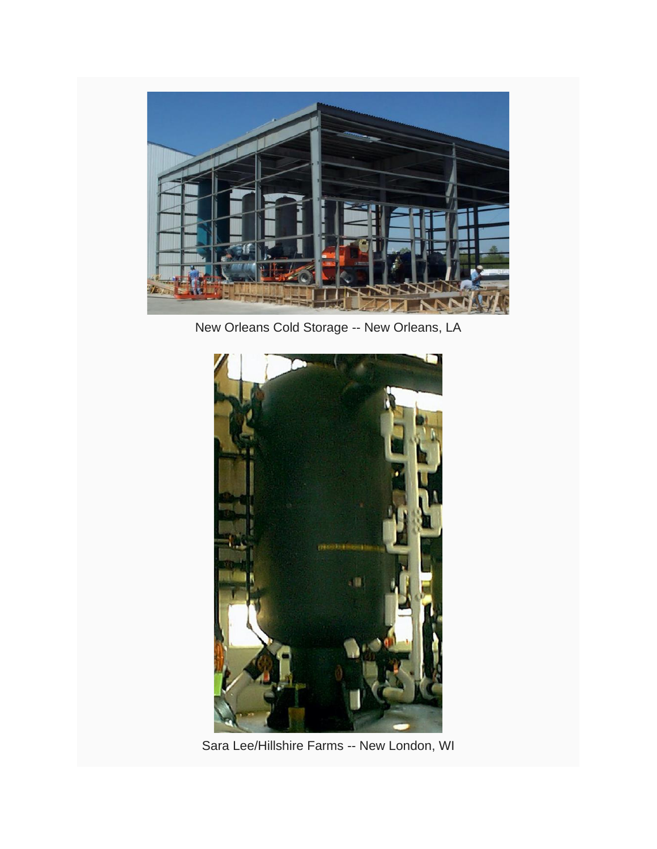

New Orleans Cold Storage -- New Orleans, LA



Sara Lee/Hillshire Farms -- New London, WI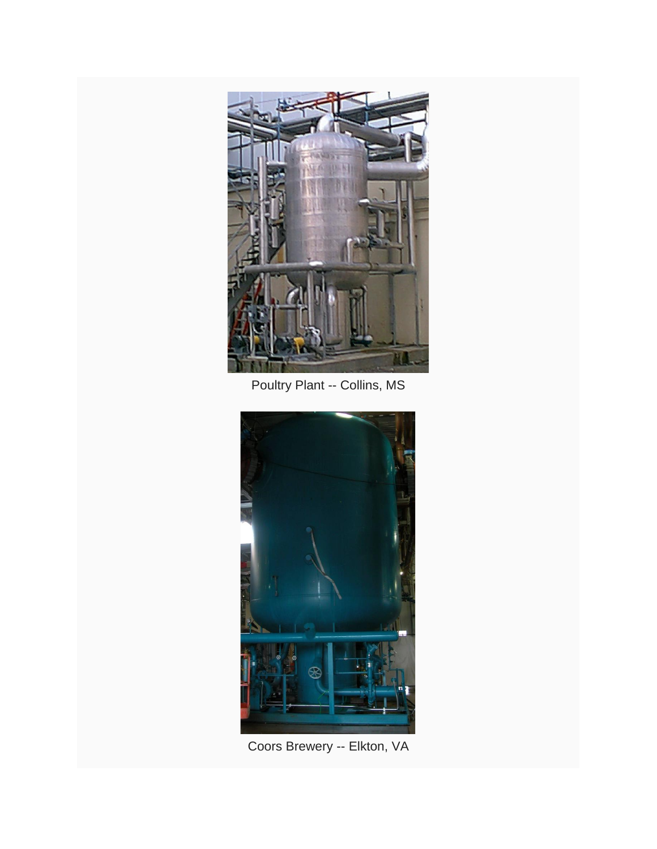

Poultry Plant -- Collins, MS



Coors Brewery -- Elkton, VA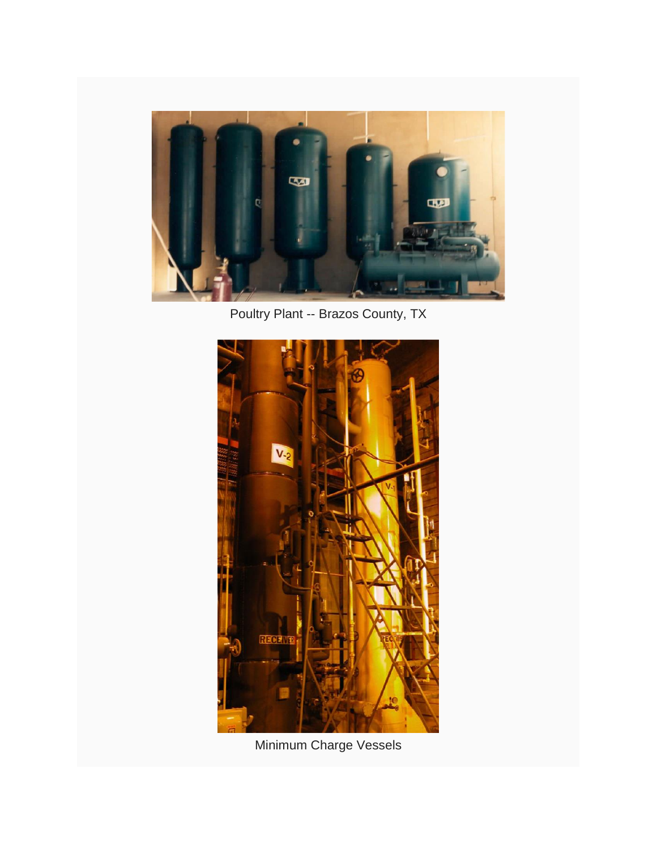

Poultry Plant -- Brazos County, TX



Minimum Charge Vessels